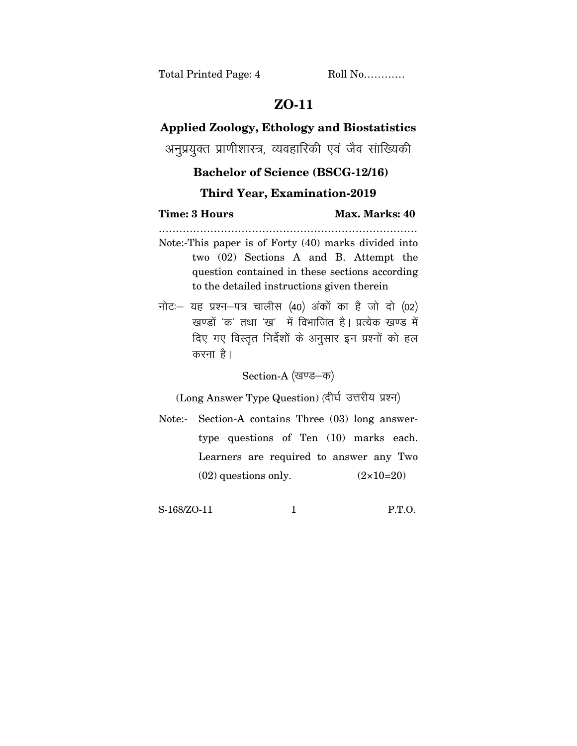## **ZO-11**

## **Applied Zoology, Ethology and Biostatistics**

अनुप्रयुक्त प्राणीशास्त्र, व्यवहारिकी एवं जैव सांख्यिकी

## **Bachelor of Science (BSCG-12/16)**

## **Third Year, Examination-2019**

…………………………………………………………………

**Time: 3 Hours Max. Marks: 40** 

- Note:-This paper is of Forty (40) marks divided into two (02) Sections A and B. Attempt the question contained in these sections according to the detailed instructions given therein
- नोट: यह प्रश्न-पत्र चालीस (40) अंकों का है जो दो (02) खण्डों 'क' तथा 'ख' में विभाजित है। प्रत्येक खण्ड में दिए गए विस्तृत निर्देशों के अनुसार इन प्रश्नों को हल करना $\hat{g}$ ।

Section-A (खण्ड–क)

(Long Answer Type Question) (दीर्घ उत्तरीय प्रश्न)

Note:- Section-A contains Three (03) long answertype questions of Ten (10) marks each. Learners are required to answer any Two  $(02)$  questions only.  $(2 \times 10=20)$ 

S-168/ZO-11 1 P.T.O.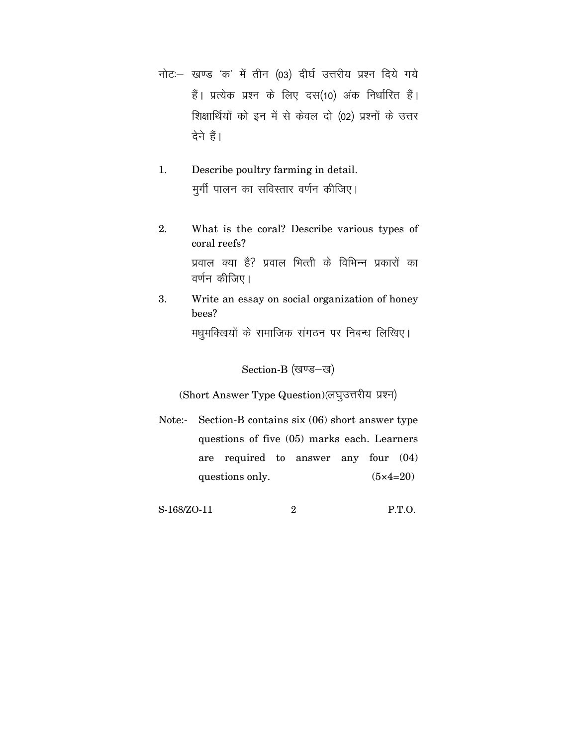- नोट: खण्ड 'क' में तीन (03) दीर्घ उत्तरीय प्रश्न दिये गये हैं। प्रत्येक प्रश्न के लिए दस(10) अंक निर्धारित हैं। शिक्षार्थियों को इन में से केवल दो (02) प्रश्नों के उत्तर देने हैं।
- 1. Describe poultry farming in detail. मर्गी पालन का सविस्तार वर्णन कीजिए।
- 2. What is the coral? Describe various types of coral reefs? प्रवाल क्या है? प्रवाल भित्ती के विभिन्न प्रकारों का वर्णन कीजिए।
- 3. Write an essay on social organization of honey bees? मधुमक्खियों के समाजिक संगठन पर निबन्ध लिखिए।

Section-B (खण्ड-ख)

(Short Answer Type Question)(लघुउत्तरीय प्रश्न)

Note:- Section-B contains six (06) short answer type questions of five (05) marks each. Learners are required to answer any four (04) questions only.  $(5 \times 4=20)$ 

S-168/ZO-11 2 P.T.O.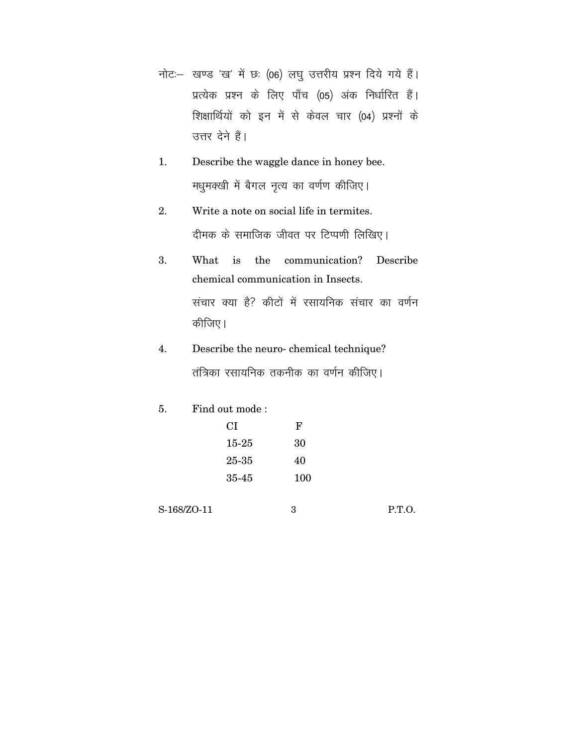- नोट: खण्ड 'ख' में छः (06) लघु उत्तरीय प्रश्न दिये गये हैं। प्रत्येक प्रश्न के लिए पाँच (05) अंक निर्धारित हैं। शिक्षार्थियों को इन में से केवल चार (04) प्रश्नों के उत्तर देने हैं।
- 1. Describe the waggle dance in honey bee. मधुमक्खी में बैगल नृत्य का वर्णण कीजिए।
- 2. Write a note on social life in termites. दीमक के समाजिक जीवत पर टिप्पणी लिखिए।
- 3. What is the communication? Describe chemical communication in Insects. संचार क्या है? कीटों में रसायनिक संचार का वर्णन कीजिए।
- 4. Describe the neuro- chemical technique? तंत्रिका रसायनिक तकनीक का वर्णन कीजिए।
- 5. Find out mode :

| CI    | F   |
|-------|-----|
| 15-25 | 30  |
| 25-35 | 40  |
| 35-45 | 100 |

S-168/ZO-11 3 P.T.O.